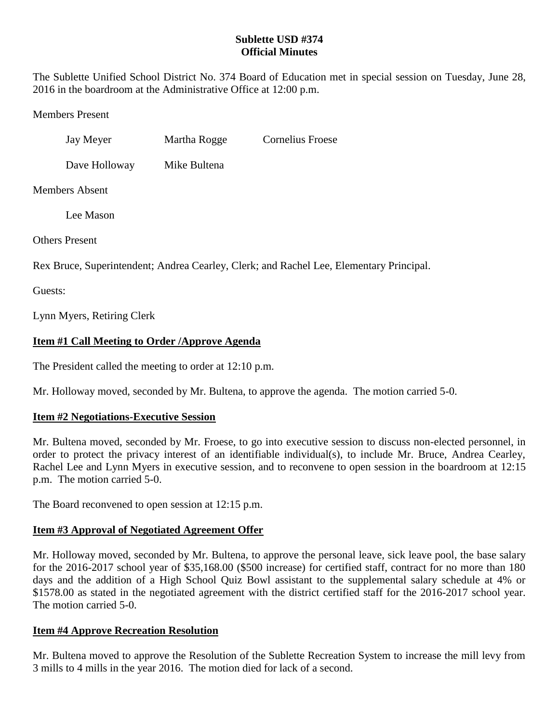### **Sublette USD #374 Official Minutes**

The Sublette Unified School District No. 374 Board of Education met in special session on Tuesday, June 28, 2016 in the boardroom at the Administrative Office at 12:00 p.m.

Members Present

Jay Meyer Martha Rogge Cornelius Froese

Dave Holloway Mike Bultena

Members Absent

Lee Mason

Others Present

Rex Bruce, Superintendent; Andrea Cearley, Clerk; and Rachel Lee, Elementary Principal.

Guests:

Lynn Myers, Retiring Clerk

# **Item #1 Call Meeting to Order /Approve Agenda**

The President called the meeting to order at 12:10 p.m.

Mr. Holloway moved, seconded by Mr. Bultena, to approve the agenda. The motion carried 5-0.

### **Item #2 Negotiations-Executive Session**

Mr. Bultena moved, seconded by Mr. Froese, to go into executive session to discuss non-elected personnel, in order to protect the privacy interest of an identifiable individual(s), to include Mr. Bruce, Andrea Cearley, Rachel Lee and Lynn Myers in executive session, and to reconvene to open session in the boardroom at 12:15 p.m. The motion carried 5-0.

The Board reconvened to open session at 12:15 p.m.

# **Item #3 Approval of Negotiated Agreement Offer**

Mr. Holloway moved, seconded by Mr. Bultena, to approve the personal leave, sick leave pool, the base salary for the 2016-2017 school year of \$35,168.00 (\$500 increase) for certified staff, contract for no more than 180 days and the addition of a High School Quiz Bowl assistant to the supplemental salary schedule at 4% or \$1578.00 as stated in the negotiated agreement with the district certified staff for the 2016-2017 school year. The motion carried 5-0.

# **Item #4 Approve Recreation Resolution**

Mr. Bultena moved to approve the Resolution of the Sublette Recreation System to increase the mill levy from 3 mills to 4 mills in the year 2016. The motion died for lack of a second.